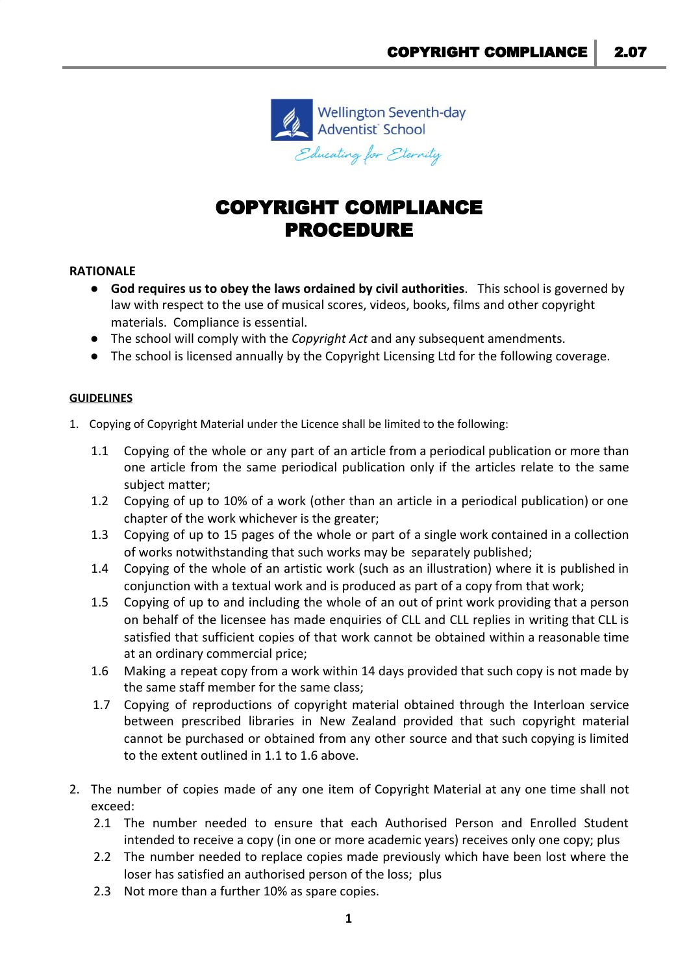

# COPYRIGHT COMPLIANCE PROCEDURE

## **RATIONALE**

- **God requires us to obey the laws ordained by civil authorities**. This school is governed by law with respect to the use of musical scores, videos, books, films and other copyright materials. Compliance is essential.
- The school will comply with the *Copyright Act* and any subsequent amendments.
- The school is licensed annually by the Copyright Licensing Ltd for the following coverage.

## **GUIDELINES**

- 1. Copying of Copyright Material under the Licence shall be limited to the following:
	- 1.1 Copying of the whole or any part of an article from a periodical publication or more than one article from the same periodical publication only if the articles relate to the same subject matter;
	- 1.2 Copying of up to 10% of a work (other than an article in a periodical publication) or one chapter of the work whichever is the greater;
	- 1.3 Copying of up to 15 pages of the whole or part of a single work contained in a collection of works notwithstanding that such works may be separately published;
	- 1.4 Copying of the whole of an artistic work (such as an illustration) where it is published in conjunction with a textual work and is produced as part of a copy from that work;
	- 1.5 Copying of up to and including the whole of an out of print work providing that a person on behalf of the licensee has made enquiries of CLL and CLL replies in writing that CLL is satisfied that sufficient copies of that work cannot be obtained within a reasonable time at an ordinary commercial price;
	- 1.6 Making a repeat copy from a work within 14 days provided that such copy is not made by the same staff member for the same class;
	- 1.7 Copying of reproductions of copyright material obtained through the Interloan service between prescribed libraries in New Zealand provided that such copyright material cannot be purchased or obtained from any other source and that such copying is limited to the extent outlined in 1.1 to 1.6 above.
- 2. The number of copies made of any one item of Copyright Material at any one time shall not exceed:
	- 2.1 The number needed to ensure that each Authorised Person and Enrolled Student intended to receive a copy (in one or more academic years) receives only one copy; plus
	- 2.2 The number needed to replace copies made previously which have been lost where the loser has satisfied an authorised person of the loss; plus
	- 2.3 Not more than a further 10% as spare copies.